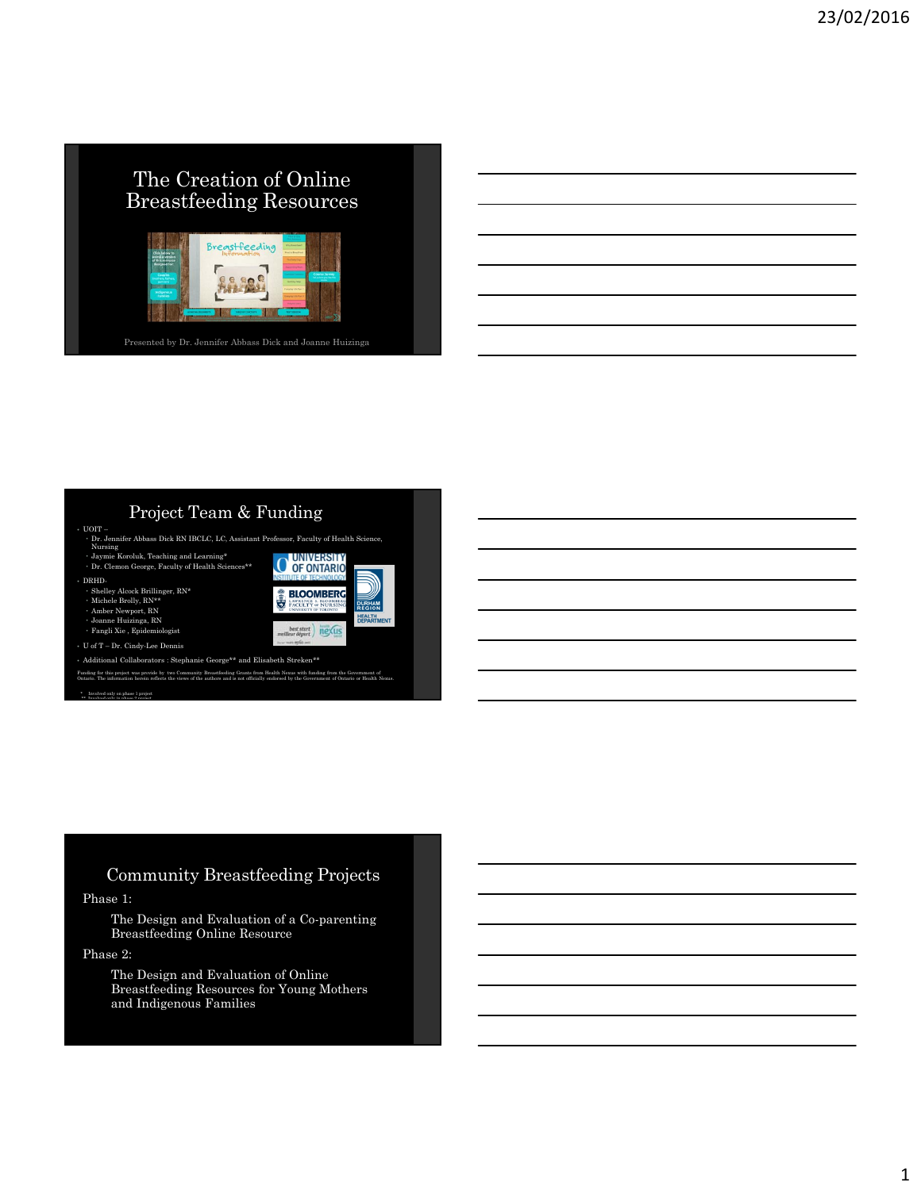## The Creation of Online Breastfeeding Resources



Presented by Dr. Jennifer Abbass Dick and Joanne Huizinga

#### Project Team & Funding

- 
- UOIT Jennifer Abbass Dick RN IBCLC, LC, Assistant Professor, Faculty of Health Science,<br>
Nursing<br>• Jaymie Koroluk, Teaching and Learning\*<br>• July Clemon George, Faculty of Health Sciences\*\*<br>
COLO CONTARIO
- 
- 
- DRHD-
- Shelley Alcock Brillinger, RN\* Michele Brolly, RN\*\* Amber Newport, RN
- 
- 
- Joanne Huizinga, RN Fangli Xie , Epidemiologist
- U of T Dr. Cindy-Lee Dennis

 <br>• Additional Collaborators : Stephanie George\*\* and Elisabeth Streken\*\* Funding for this project was provide by two Community Breastfeeding Grants from Health Nexus with funding from the Government of<br>Ontario. The information herein reflects the views of the authors and is not officially endor

**BLOOMBERG** 

 $\frac{\text{start}}{\text{next}}$ ) rexus

\* Involved only on phase 1 project \*\* Involved only in phase 2 project

## Community Breastfeeding Projects

#### Phase 1:

The Design and Evaluation of a Co-parenting Breastfeeding Online Resource

#### Phase 2:

The Design and Evaluation of Online Breastfeeding Resources for Young Mothers and Indigenous Families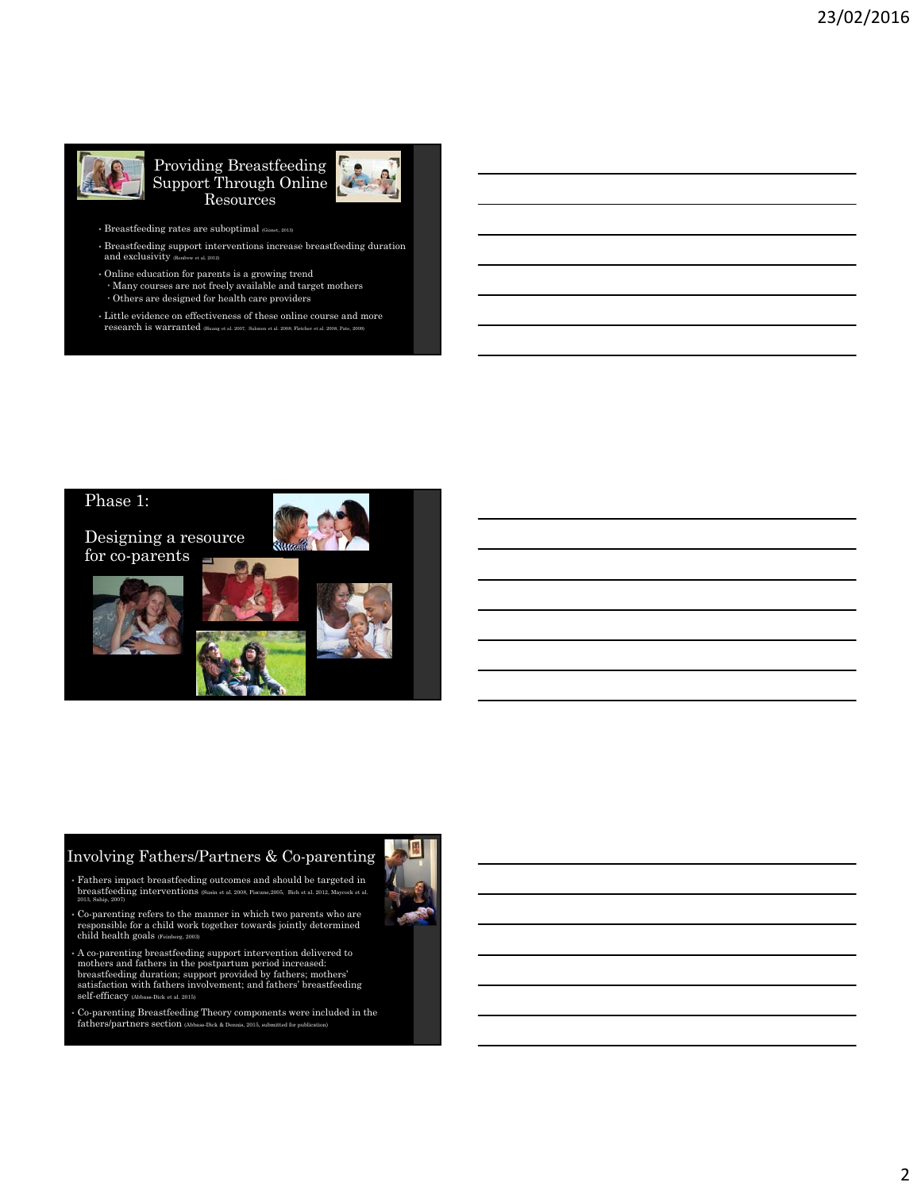

#### Providing Breastfeeding Support Through Online Resources



- $\bullet$  Breastfeeding rates are suboptimal  $_{\tiny{\text{\textbf{(Gionet, 2013)}}}}$
- Breastfeeding support interventions increase breastfeeding duration and exclusivity (Renfrew et al, 2012)
- Online education for parents is a growing trend Many courses are not freely available and target mothers Others are designed for health care providers
- Little evidence on effectiveness of these online course and more research is warranted (Huang et al. 2007, Salonen et al. 2008; Fletcher et al. 2008, Pate, 2009)



### Involving Fathers/Partners & Co-parenting

- Fathers impact breastfeeding outcomes and should be targeted in breastfeeding interventions (Susin et al. 2008, Piscane,2005, Bich et al. 2012, Maycock et al. 2013, Sahip, 2007)
- Co-parenting refers to the manner in which two parents who are responsible for a child work together towards jointly determined child health goals (Feinberg, 2003)
- A co-parenting breastfeeding support intervention delivered to mothers and fathers in the postpartum period increased: breastfeeding duration; support provided by fathers; mothers' satisfaction with fathers involvement; and fathers' breastfeeding self-efficacy (Abbass-Dick et al. 2015)
- Co-parenting Breastfeeding Theory components were included in the fathers/partners section (Abbass-Dick & Dennis, 2015, submitted for publication)

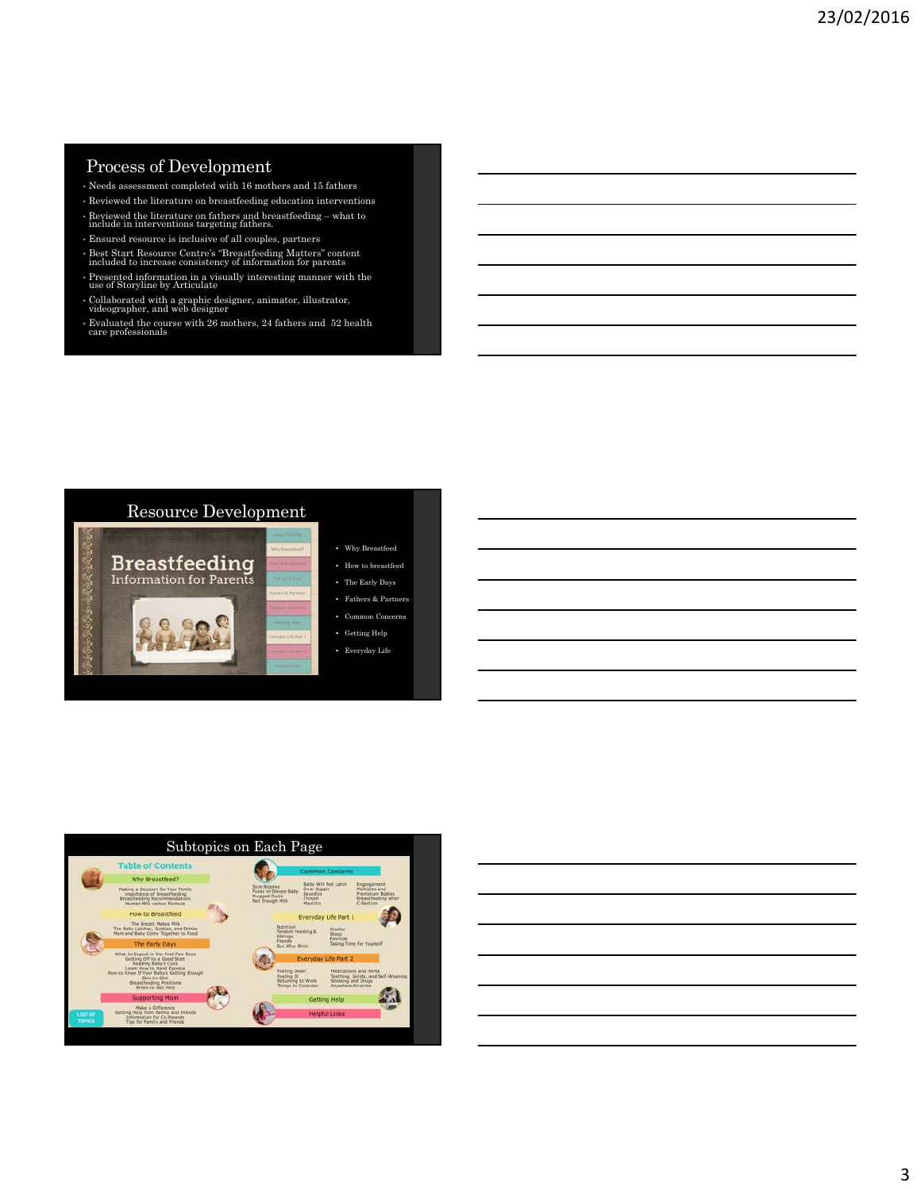#### Process of Development

- Needs assessment completed with 16 mothers and 15 fathers
- Reviewed the literature on breastfeeding education interventions
- Reviewed the literature on fathers and breastfeeding what to include in interventions targeting fathers.
- Ensured resource is inclusive of all couples, partners
- Best Start Resource Centre's "Breastfeeding Matters" content included to increase consistency of information for parents
- Presented information in a visually interesting manner with the use of Storyline by Articulate
- Collaborated with a graphic designer, animator, illustrator, videographer, and web designer
- Evaluated the course with 26 mothers, 24 fathers and 52 health care professionals





3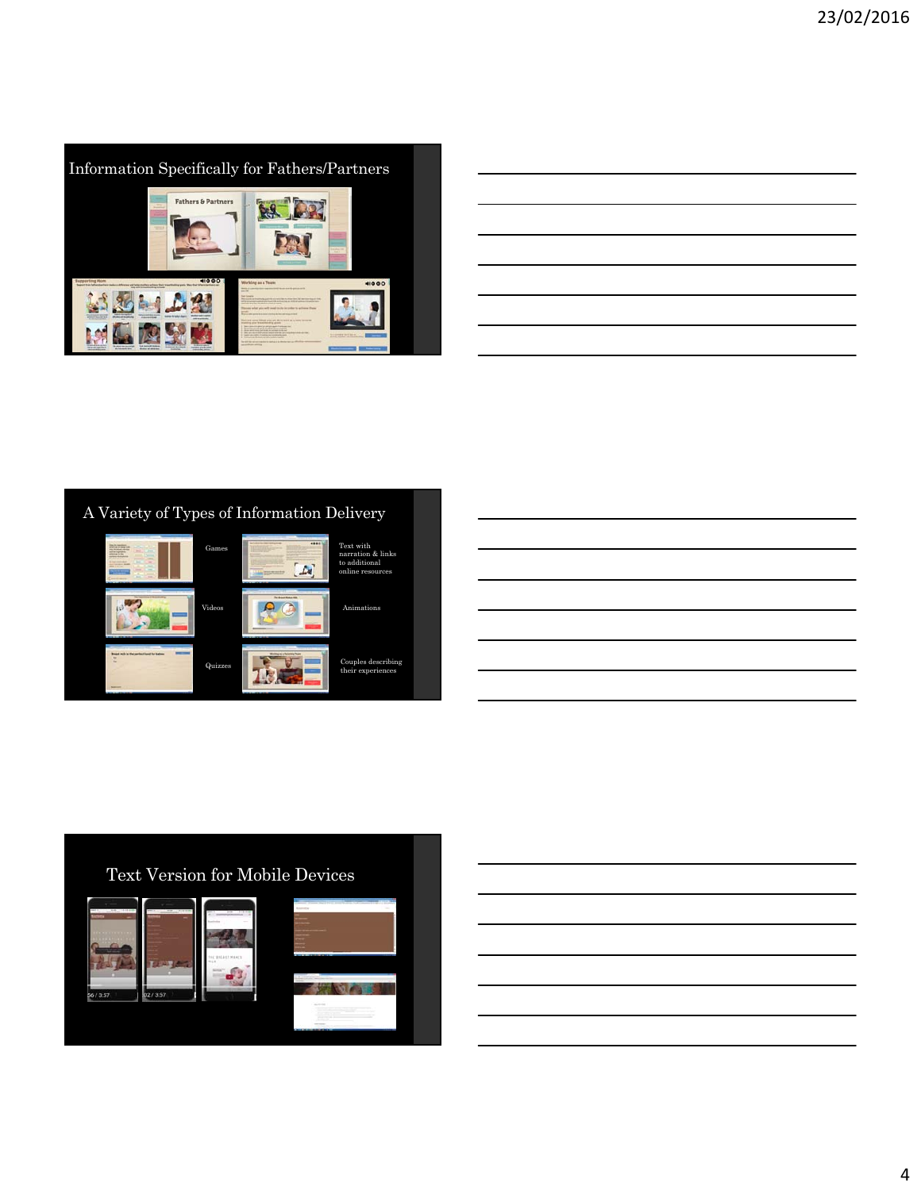

|                                                                                 | <u> 1989 - Andrea Santa Andrea Andrea Andrea Andrea Andrea Andrea Andrea Andrea Andrea Andrea Andrea Andrea Andr</u> |  |  |
|---------------------------------------------------------------------------------|----------------------------------------------------------------------------------------------------------------------|--|--|
|                                                                                 |                                                                                                                      |  |  |
| the contract of the contract of the contract of the contract of the contract of |                                                                                                                      |  |  |
|                                                                                 | the contract of the contract of the contract of the contract of the contract of                                      |  |  |
|                                                                                 |                                                                                                                      |  |  |
|                                                                                 |                                                                                                                      |  |  |
|                                                                                 | ,我们也不会有一个人的人,我们也不会有一个人的人,我们也不会有一个人的人,我们也不会有一个人的人,我们也不会有一个人的人。""我们,我们也不会有一个人的人,我们                                     |  |  |
|                                                                                 |                                                                                                                      |  |  |





## Text Version for Mobile Devices

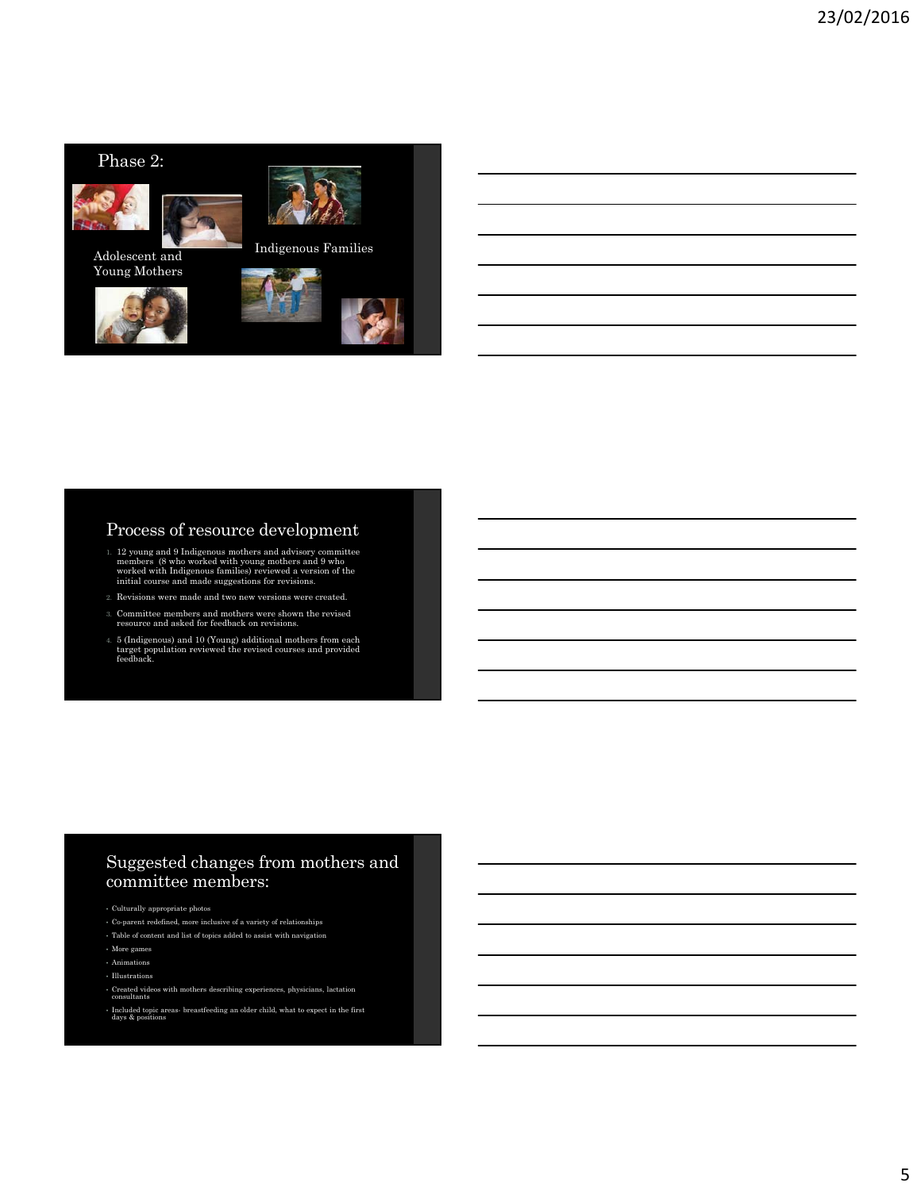

#### Process of resource development

- 1. 12 young and 9 Indigenous mothers and advisory committee members (8 who worked with young mothers and 9 who worked with Indigenous families) reviewed a version of the initial course and made suggestions for revisions.
- 2. Revisions were made and two new versions were created.
- 3. Committee members and mothers were shown the revised resource and asked for feedback on revisions.
- 4. 5 (Indigenous) and 10 (Young) additional mothers from each target population reviewed the revised courses and provided feedback.

### Suggested changes from mothers and committee members:

- Culturally appropriate photos
- Co-parent redefined, more inclusive of a variety of relationships
- Table of content and list of topics added to assist with navigation
- More games
- Animations
- Illustrations
- Created videos with mothers describing experiences, physicians, lactation consultants
- Included topic areas- breastfeeding an older child, what to expect in the first days & positions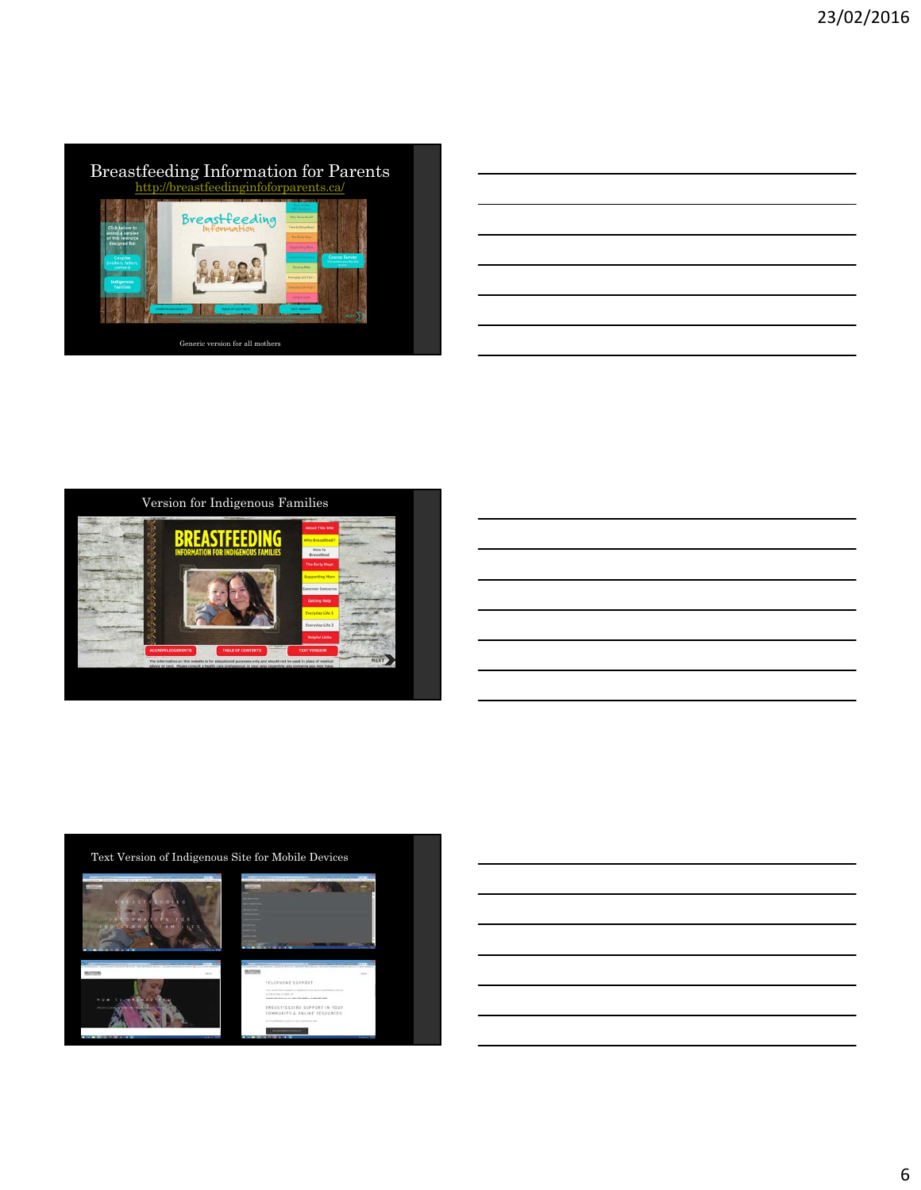

| <u> 1989 - Andrea Santa Andrea Andrea Andrea Andrea Andrea Andrea Andrea Andrea Andrea Andrea Andrea Andrea Andr</u>                                                                                                          |  |  |
|-------------------------------------------------------------------------------------------------------------------------------------------------------------------------------------------------------------------------------|--|--|
|                                                                                                                                                                                                                               |  |  |
| the control of the control of the control of the control of the control of the control of the control of the control of the control of the control of the control of the control of the control of the control of the control |  |  |
|                                                                                                                                                                                                                               |  |  |
|                                                                                                                                                                                                                               |  |  |



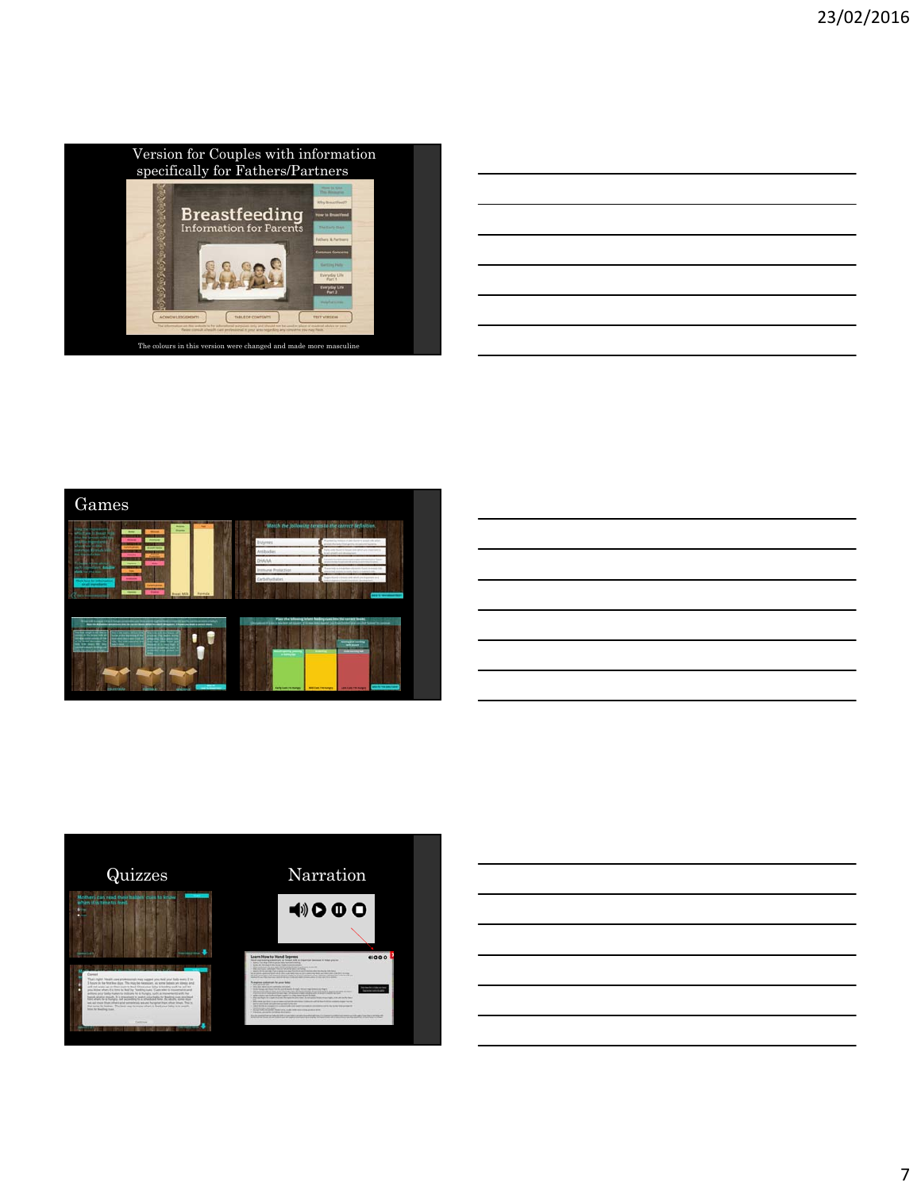

|                                                                                                                    |  | ______                            |
|--------------------------------------------------------------------------------------------------------------------|--|-----------------------------------|
|                                                                                                                    |  |                                   |
|                                                                                                                    |  |                                   |
|                                                                                                                    |  |                                   |
|                                                                                                                    |  |                                   |
|                                                                                                                    |  |                                   |
| <u> 1989 - Johann Barbara, martxa alemaniar argamento este alemaniar alemaniar alemaniar alemaniar alemaniar a</u> |  |                                   |
|                                                                                                                    |  |                                   |
|                                                                                                                    |  | the control of the control of the |
|                                                                                                                    |  |                                   |
|                                                                                                                    |  |                                   |







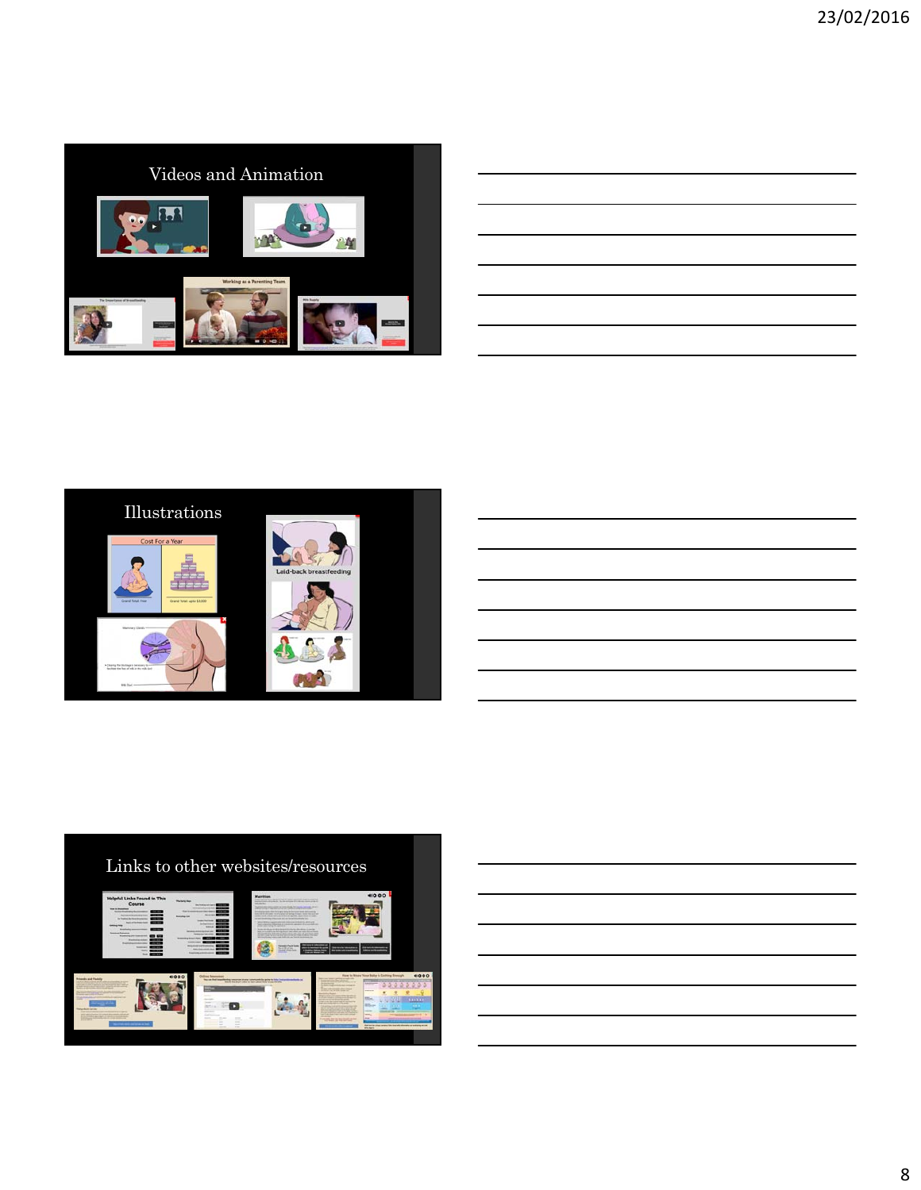

| ,我们也不会有什么。""我们的人,我们也不会有什么?""我们的人,我们也不会有什么?""我们的人,我们也不会有什么?""我们的人,我们也不会有什么?""我们的人                                      |  |  |
|-----------------------------------------------------------------------------------------------------------------------|--|--|
|                                                                                                                       |  |  |
| <u> 1989 - Johann Stoff, deutscher Stoff, der Stoff, der Stoff, der Stoff, der Stoff, der Stoff, der Stoff, der S</u> |  |  |
| <u> 1989 - Andrea Andrew Maria (h. 1989).</u>                                                                         |  |  |
| and the control of the control of the control of the control of the control of the control of the control of the      |  |  |
|                                                                                                                       |  |  |







8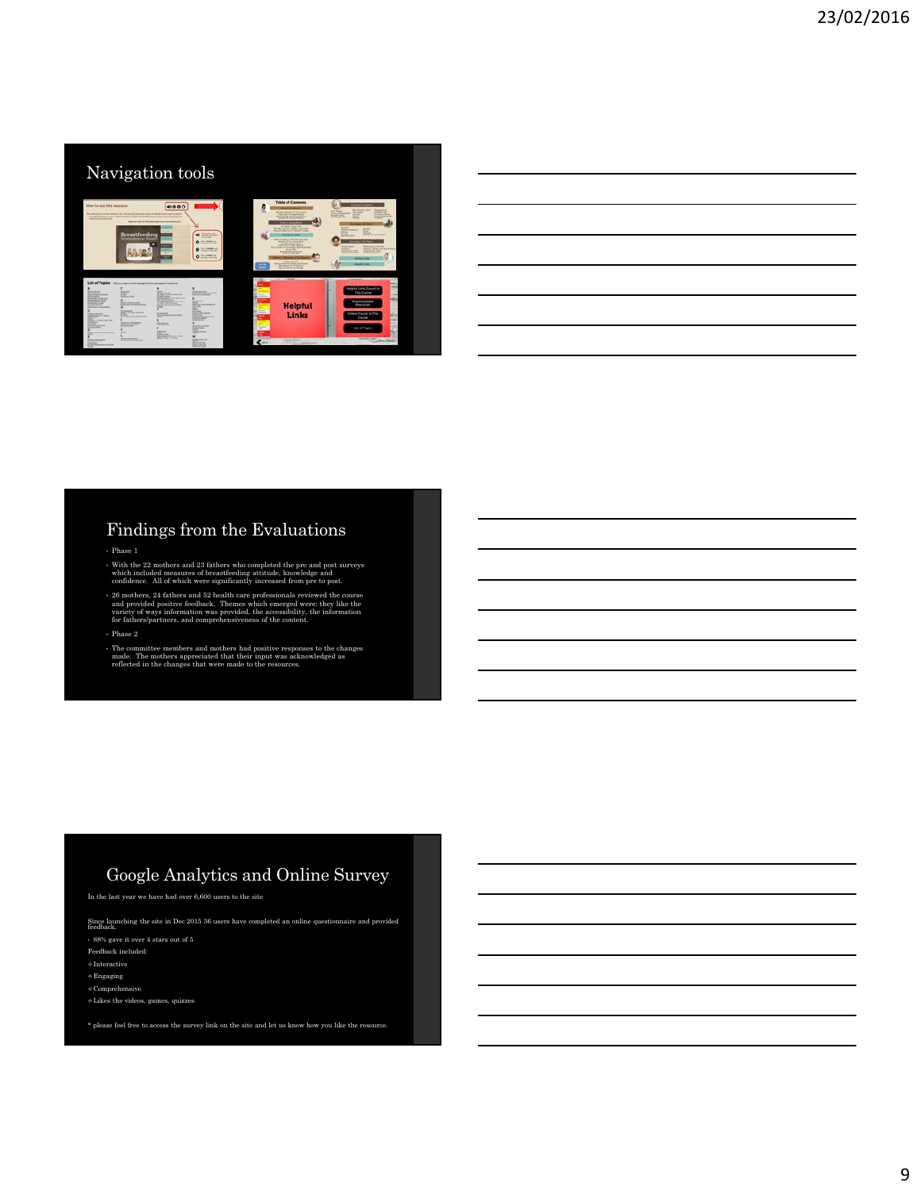

## Findings from the Evaluations

• Phase 1

• With the 22 mothers and 23 fathers who completed the pre and post surveys which included measures of breastfeeding attitude, knowledge and confidence. All of which were significantly increased from pre to post.

 $\ast$  26 mothers, 24 fathers and 52 health care professionals reviewed the course and provided positive feedback. Themes which emerged were: they like the variety of ways information was provided, the accessibility, the in

• Phase 2

• The committee members and mothers had positive responses to the changes made. The mothers appreciated that their input was acknowledged as reflected in the changes that were made to the resources.

# Google Analytics and Online Survey

In the last year we have had over 6,600 users to the site

Since launching the site in Dec 2015 36 users have completed an online questionnaire and provided feedback.

• 88% gave it over 4 stars out of 5

Feedback included:

 $\diamond$ Interactive

 $\diamond$  Engaging

 $\diamond$  Comprehensive Likes the videos, games, quizzes

\* please feel free to access the survey link on the site and let us know how you like the resource.